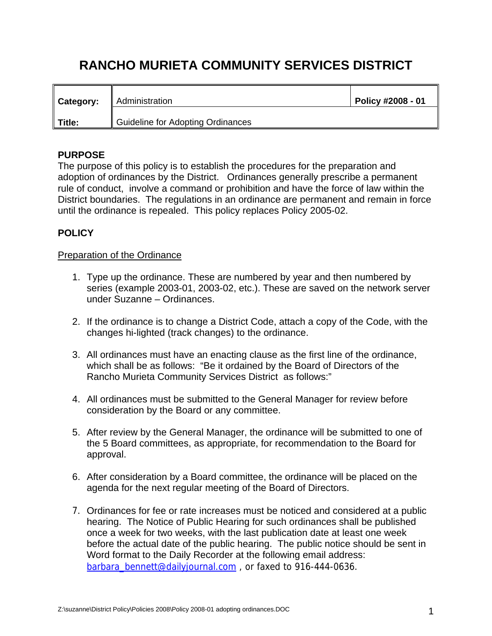# **RANCHO MURIETA COMMUNITY SERVICES DISTRICT**

| Category: | Administration                    | Policy #2008 - 01 |
|-----------|-----------------------------------|-------------------|
| Title:    | Guideline for Adopting Ordinances |                   |

## **PURPOSE**

The purpose of this policy is to establish the procedures for the preparation and adoption of ordinances by the District. Ordinances generally prescribe a permanent rule of conduct, involve a command or prohibition and have the force of law within the District boundaries. The regulations in an ordinance are permanent and remain in force until the ordinance is repealed. This policy replaces Policy 2005-02.

## **POLICY**

## Preparation of the Ordinance

- 1. Type up the ordinance. These are numbered by year and then numbered by series (example 2003-01, 2003-02, etc.). These are saved on the network server under Suzanne – Ordinances.
- 2. If the ordinance is to change a District Code, attach a copy of the Code, with the changes hi-lighted (track changes) to the ordinance.
- 3. All ordinances must have an enacting clause as the first line of the ordinance, which shall be as follows: "Be it ordained by the Board of Directors of the Rancho Murieta Community Services District as follows:"
- 4. All ordinances must be submitted to the General Manager for review before consideration by the Board or any committee.
- 5. After review by the General Manager, the ordinance will be submitted to one of the 5 Board committees, as appropriate, for recommendation to the Board for approval.
- 6. After consideration by a Board committee, the ordinance will be placed on the agenda for the next regular meeting of the Board of Directors.
- 7. Ordinances for fee or rate increases must be noticed and considered at a public hearing. The Notice of Public Hearing for such ordinances shall be published once a week for two weeks, with the last publication date at least one week before the actual date of the public hearing. The public notice should be sent in Word format to the Daily Recorder at the following email address: barbara bennett@dailyjournal.com, or faxed to 916-444-0636.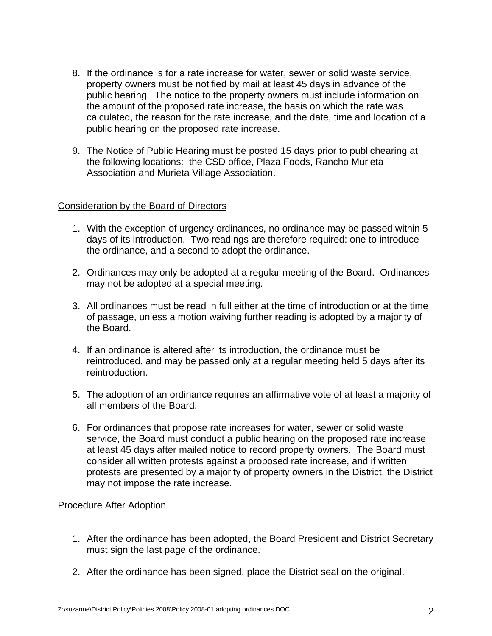- 8. If the ordinance is for a rate increase for water, sewer or solid waste service, property owners must be notified by mail at least 45 days in advance of the public hearing. The notice to the property owners must include information on the amount of the proposed rate increase, the basis on which the rate was calculated, the reason for the rate increase, and the date, time and location of a public hearing on the proposed rate increase.
- 9. The Notice of Public Hearing must be posted 15 days prior to publichearing at the following locations: the CSD office, Plaza Foods, Rancho Murieta Association and Murieta Village Association.

#### Consideration by the Board of Directors

- 1. With the exception of urgency ordinances, no ordinance may be passed within 5 days of its introduction. Two readings are therefore required: one to introduce the ordinance, and a second to adopt the ordinance.
- 2. Ordinances may only be adopted at a regular meeting of the Board. Ordinances may not be adopted at a special meeting.
- 3. All ordinances must be read in full either at the time of introduction or at the time of passage, unless a motion waiving further reading is adopted by a majority of the Board.
- 4. If an ordinance is altered after its introduction, the ordinance must be reintroduced, and may be passed only at a regular meeting held 5 days after its reintroduction.
- 5. The adoption of an ordinance requires an affirmative vote of at least a majority of all members of the Board.
- 6. For ordinances that propose rate increases for water, sewer or solid waste service, the Board must conduct a public hearing on the proposed rate increase at least 45 days after mailed notice to record property owners. The Board must consider all written protests against a proposed rate increase, and if written protests are presented by a majority of property owners in the District, the District may not impose the rate increase.

#### Procedure After Adoption

- 1. After the ordinance has been adopted, the Board President and District Secretary must sign the last page of the ordinance.
- 2. After the ordinance has been signed, place the District seal on the original.